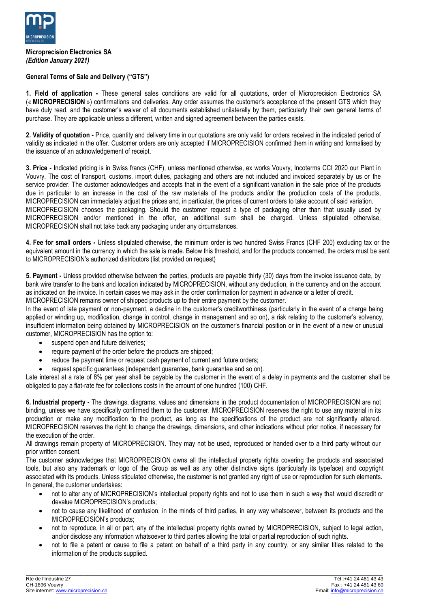

## **Microprecision Electronics SA** *(Edition January 2021)*

## **General Terms of Sale and Delivery ("GTS")**

**1. Field of application -** These general sales conditions are valid for all quotations, order of Microprecision Electronics SA (« **MICROPRECISION** ») confirmations and deliveries. Any order assumes the customer's acceptance of the present GTS which they have duly read, and the customer's waiver of all documents established unilaterally by them, particularly their own general terms of purchase. They are applicable unless a different, written and signed agreement between the parties exists.

**2. Validity of quotation -** Price, quantity and delivery time in our quotations are only valid for orders received in the indicated period of validity as indicated in the offer. Customer orders are only accepted if MICROPRECISION confirmed them in writing and formalised by the issuance of an acknowledgement of receipt.

**3. Price -** Indicated pricing is in Swiss francs (CHF), unless mentioned otherwise, ex works Vouvry, Incoterms CCI 2020 our Plant in Vouvry. The cost of transport, customs, import duties, packaging and others are not included and invoiced separately by us or the service provider. The customer acknowledges and accepts that in the event of a significant variation in the sale price of the products due in particular to an increase in the cost of the raw materials of the products and/or the production costs of the products, MICROPRECISION can immediately adjust the prices and, in particular, the prices of current orders to take account of said variation. MICROPRECISION chooses the packaging. Should the customer request a type of packaging other than that usually used by MICROPRECISION and/or mentioned in the offer, an additional sum shall be charged. Unless stipulated otherwise, MICROPRECISION shall not take back any packaging under any circumstances.

**4. Fee for small orders -** Unless stipulated otherwise, the minimum order is two hundred Swiss Francs (CHF 200) excluding tax or the equivalent amount in the currency in which the sale is made. Below this threshold, and for the products concerned, the orders must be sent to MICROPRECISION's authorized distributors (list provided on request)

**5. Payment -** Unless provided otherwise between the parties, products are payable thirty (30) days from the invoice issuance date, by bank wire transfer to the bank and location indicated by MICROPRECISION, without any deduction, in the currency and on the account as indicated on the invoice. In certain cases we may ask in the order confirmation for payment in advance or a letter of credit. MICROPRECISION remains owner of shipped products up to their entire payment by the customer.

In the event of late payment or non-payment, a decline in the customer's creditworthiness (particularly in the event of a charge being applied or winding up, modification, change in control, change in management and so on), a risk relating to the customer's solvency, insufficient information being obtained by MICROPRECISION on the customer's financial position or in the event of a new or unusual customer, MICROPRECISION has the option to:

- suspend open and future deliveries;
- require payment of the order before the products are shipped;
- reduce the payment time or request cash payment of current and future orders;
- request specific guarantees (independent guarantee, bank guarantee and so on).

Late interest at a rate of 8% per year shall be payable by the customer in the event of a delay in payments and the customer shall be obligated to pay a flat-rate fee for collections costs in the amount of one hundred (100) CHF.

**6. Industrial property -** The drawings, diagrams, values and dimensions in the product documentation of MICROPRECISION are not binding, unless we have specifically confirmed them to the customer. MICROPRECISION reserves the right to use any material in its production or make any modification to the product, as long as the specifications of the product are not significantly altered. MICROPRECISION reserves the right to change the drawings, dimensions, and other indications without prior notice, if necessary for the execution of the order.

All drawings remain property of MICROPRECISION. They may not be used, reproduced or handed over to a third party without our prior written consent.

The customer acknowledges that MICROPRECISION owns all the intellectual property rights covering the products and associated tools, but also any trademark or logo of the Group as well as any other distinctive signs (particularly its typeface) and copyright associated with its products. Unless stipulated otherwise, the customer is not granted any right of use or reproduction for such elements. In general, the customer undertakes:

- not to alter any of MICROPRECISION's intellectual property rights and not to use them in such a way that would discredit or devalue MICROPRECISION's products;
- not to cause any likelihood of confusion, in the minds of third parties, in any way whatsoever, between its products and the MICROPRECISION's products;
- not to reproduce, in all or part, any of the intellectual property rights owned by MICROPRECISION, subject to legal action, and/or disclose any information whatsoever to third parties allowing the total or partial reproduction of such rights.
- not to file a patent or cause to file a patent on behalf of a third party in any country, or any similar titles related to the information of the products supplied.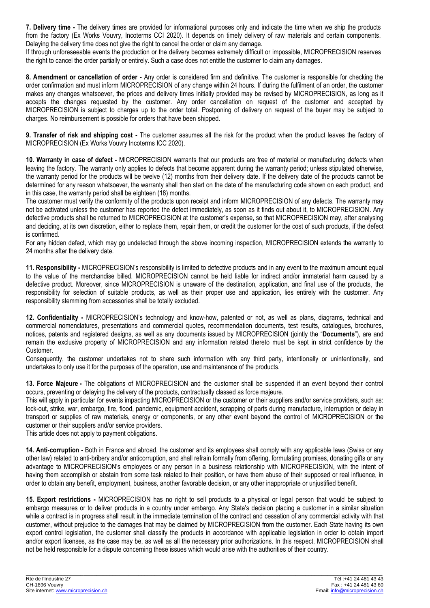**7. Delivery time -** The delivery times are provided for informational purposes only and indicate the time when we ship the products from the factory (Ex Works Vouvry, Incoterms CCI 2020). It depends on timely delivery of raw materials and certain components. Delaying the delivery time does not give the right to cancel the order or claim any damage.

If through unforeseeable events the production or the delivery becomes extremely difficult or impossible, MICROPRECISION reserves the right to cancel the order partially or entirely. Such a case does not entitle the customer to claim any damages.

**8. Amendment or cancellation of order -** Any order is considered firm and definitive. The customer is responsible for checking the order confirmation and must inform MICROPRECISION of any change within 24 hours. If during the fulfilment of an order, the customer makes any changes whatsoever, the prices and delivery times initially provided may be revised by MICROPRECISION, as long as it accepts the changes requested by the customer. Any order cancellation on request of the customer and accepted by MICROPRECISION is subject to charges up to the order total. Postponing of delivery on request of the buyer may be subject to charges. No reimbursement is possible for orders that have been shipped.

**9. Transfer of risk and shipping cost -** The customer assumes all the risk for the product when the product leaves the factory of MICROPRECISION (Ex Works Vouvry Incoterms ICC 2020).

**10. Warranty in case of defect -** MICROPRECISION warrants that our products are free of material or manufacturing defects when leaving the factory. The warranty only applies to defects that become apparent during the warranty period; unless stipulated otherwise, the warranty period for the products will be twelve (12) months from their delivery date. If the delivery date of the products cannot be determined for any reason whatsoever, the warranty shall then start on the date of the manufacturing code shown on each product, and in this case, the warranty period shall be eighteen (18) months.

The customer must verify the conformity of the products upon receipt and inform MICROPRECISION of any defects. The warranty may not be activated unless the customer has reported the defect immediately, as soon as it finds out about it, to MICROPRECISION. Any defective products shall be returned to MICROPRECISION at the customer's expense, so that MICROPRECISION may, after analysing and deciding, at its own discretion, either to replace them, repair them, or credit the customer for the cost of such products, if the defect is confirmed.

For any hidden defect, which may go undetected through the above incoming inspection, MICROPRECISION extends the warranty to 24 months after the delivery date.

**11. Responsibility -** MICROPRECISION's responsibility is limited to defective products and in any event to the maximum amount equal to the value of the merchandise billed. MICROPRECISION cannot be held liable for indirect and/or immaterial harm caused by a defective product. Moreover, since MICROPRECISION is unaware of the destination, application, and final use of the products, the responsibility for selection of suitable products, as well as their proper use and application, lies entirely with the customer. Any responsibility stemming from accessories shall be totally excluded.

**12. Confidentiality -** MICROPRECISION's technology and know-how, patented or not, as well as plans, diagrams, technical and commercial nomenclatures, presentations and commercial quotes, recommendation documents, test results, catalogues, brochures, notices, patents and registered designs, as well as any documents issued by MICROPRECISION (jointly the "**Documents**"), are and remain the exclusive property of MICROPRECISION and any information related thereto must be kept in strict confidence by the Customer.

Consequently, the customer undertakes not to share such information with any third party, intentionally or unintentionally, and undertakes to only use it for the purposes of the operation, use and maintenance of the products.

**13. Force Majeure -** The obligations of MICROPRECISION and the customer shall be suspended if an event beyond their control occurs, preventing or delaying the delivery of the products, contractually classed as force majeure.

This will apply in particular for events impacting MICROPRECISION or the customer or their suppliers and/or service providers, such as: lock-out, strike, war, embargo, fire, flood, pandemic, equipment accident, scrapping of parts during manufacture, interruption or delay in transport or supplies of raw materials, energy or components, or any other event beyond the control of MICROPRECISION or the customer or their suppliers and/or service providers.

This article does not apply to payment obligations.

**14. Anti-corruption -** Both in France and abroad, the customer and its employees shall comply with any applicable laws (Swiss or any other law) related to anti-bribery and/or anticorruption, and shall refrain formally from offering, formulating promises, donating gifts or any advantage to MICROPRECISION's employees or any person in a business relationship with MICROPRECISION, with the intent of having them accomplish or abstain from some task related to their position, or have them abuse of their supposed or real influence, in order to obtain any benefit, employment, business, another favorable decision, or any other inappropriate or unjustified benefit.

**15. Export restrictions -** MICROPRECISION has no right to sell products to a physical or legal person that would be subject to embargo measures or to deliver products in a country under embargo. Any State's decision placing a customer in a similar situation while a contract is in progress shall result in the immediate termination of the contract and cessation of any commercial activity with that customer, without prejudice to the damages that may be claimed by MICROPRECISION from the customer. Each State having its own export control legislation, the customer shall classify the products in accordance with applicable legislation in order to obtain import and/or export licenses, as the case may be, as well as all the necessary prior authorizations. In this respect, MICROPRECISION shall not be held responsible for a dispute concerning these issues which would arise with the authorities of their country.

 $\_$  ,  $\_$  ,  $\_$  ,  $\_$  ,  $\_$  ,  $\_$  ,  $\_$  ,  $\_$  ,  $\_$  ,  $\_$  ,  $\_$  ,  $\_$  ,  $\_$  ,  $\_$  ,  $\_$  ,  $\_$  ,  $\_$  ,  $\_$  ,  $\_$  ,  $\_$  ,  $\_$  ,  $\_$  ,  $\_$  ,  $\_$  ,  $\_$  ,  $\_$  ,  $\_$  ,  $\_$  ,  $\_$  ,  $\_$  ,  $\_$  ,  $\_$  ,  $\_$  ,  $\_$  ,  $\_$  ,  $\_$  ,  $\_$  ,